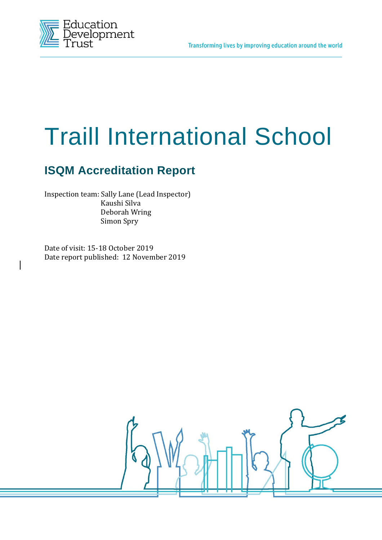

# Traill International School

# **ISQM Accreditation Report**

Inspection team: Sally Lane (Lead Inspector) Kaushi Silva Deborah Wring Simon Spry

Date of visit: 15-18 October 2019 Date report published: 12 November 2019

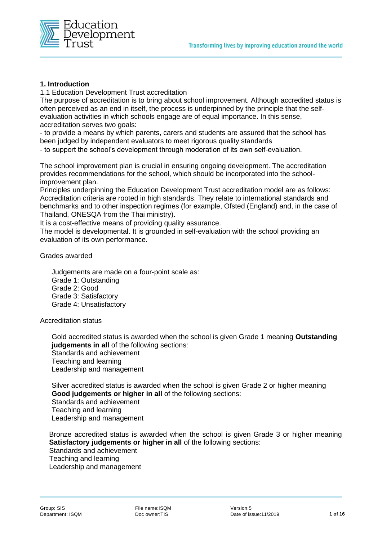

# **1. Introduction**

1.1 Education Development Trust accreditation

The purpose of accreditation is to bring about school improvement. Although accredited status is often perceived as an end in itself, the process is underpinned by the principle that the selfevaluation activities in which schools engage are of equal importance. In this sense, accreditation serves two goals:

- to provide a means by which parents, carers and students are assured that the school has been judged by independent evaluators to meet rigorous quality standards

- to support the school's development through moderation of its own self-evaluation.

The school improvement plan is crucial in ensuring ongoing development. The accreditation provides recommendations for the school, which should be incorporated into the schoolimprovement plan.

Principles underpinning the Education Development Trust accreditation model are as follows: Accreditation criteria are rooted in high standards. They relate to international standards and benchmarks and to other inspection regimes (for example, Ofsted (England) and, in the case of Thailand, ONESQA from the Thai ministry).

It is a cost-effective means of providing quality assurance.

The model is developmental. It is grounded in self-evaluation with the school providing an evaluation of its own performance.

Grades awarded

Judgements are made on a four-point scale as: Grade 1: Outstanding Grade 2: Good Grade 3: Satisfactory Grade 4: Unsatisfactory

Accreditation status

Gold accredited status is awarded when the school is given Grade 1 meaning **Outstanding judgements in all** of the following sections: Standards and achievement Teaching and learning Leadership and management

Silver accredited status is awarded when the school is given Grade 2 or higher meaning **Good judgements or higher in all** of the following sections: Standards and achievement Teaching and learning Leadership and management

Bronze accredited status is awarded when the school is given Grade 3 or higher meaning **Satisfactory judgements or higher in all** of the following sections: Standards and achievement Teaching and learning Leadership and management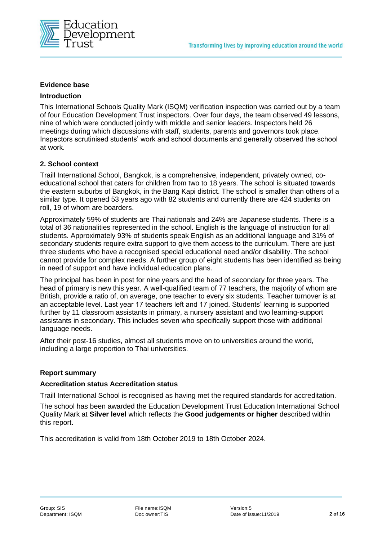

#### **Evidence base**

#### **Introduction**

This International Schools Quality Mark (ISQM) verification inspection was carried out by a team of four Education Development Trust inspectors. Over four days, the team observed 49 lessons, nine of which were conducted jointly with middle and senior leaders. Inspectors held 26 meetings during which discussions with staff, students, parents and governors took place. Inspectors scrutinised students' work and school documents and generally observed the school at work.

#### **2. School context**

Traill International School, Bangkok, is a comprehensive, independent, privately owned, coeducational school that caters for children from two to 18 years. The school is situated towards the eastern suburbs of Bangkok, in the Bang Kapi district. The school is smaller than others of a similar type. It opened 53 years ago with 82 students and currently there are 424 students on roll, 19 of whom are boarders.

Approximately 59% of students are Thai nationals and 24% are Japanese students. There is a total of 36 nationalities represented in the school. English is the language of instruction for all students. Approximately 93% of students speak English as an additional language and 31% of secondary students require extra support to give them access to the curriculum. There are just three students who have a recognised special educational need and/or disability. The school cannot provide for complex needs. A further group of eight students has been identified as being in need of support and have individual education plans.

The principal has been in post for nine years and the head of secondary for three years. The head of primary is new this year. A well-qualified team of 77 teachers, the majority of whom are British, provide a ratio of, on average, one teacher to every six students. Teacher turnover is at an acceptable level. Last year 17 teachers left and 17 joined. Students' learning is supported further by 11 classroom assistants in primary, a nursery assistant and two learning-support assistants in secondary. This includes seven who specifically support those with additional language needs.

After their post-16 studies, almost all students move on to universities around the world, including a large proportion to Thai universities.

#### **Report summary**

#### **Accreditation status Accreditation status**

Traill International School is recognised as having met the required standards for accreditation.

The school has been awarded the Education Development Trust Education International School Quality Mark at **Silver level** which reflects the **Good judgements or higher** described within this report.

This accreditation is valid from 18th October 2019 to 18th October 2024.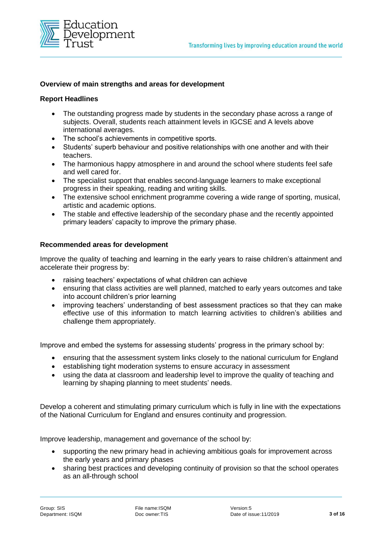

#### **Overview of main strengths and areas for development**

#### **Report Headlines**

- The outstanding progress made by students in the secondary phase across a range of subjects. Overall, students reach attainment levels in IGCSE and A levels above international averages.
- The school's achievements in competitive sports.
- Students' superb behaviour and positive relationships with one another and with their teachers.
- The harmonious happy atmosphere in and around the school where students feel safe and well cared for.
- The specialist support that enables second-language learners to make exceptional progress in their speaking, reading and writing skills.
- The extensive school enrichment programme covering a wide range of sporting, musical, artistic and academic options.
- The stable and effective leadership of the secondary phase and the recently appointed primary leaders' capacity to improve the primary phase.

#### **Recommended areas for development**

Improve the quality of teaching and learning in the early years to raise children's attainment and accelerate their progress by:

- raising teachers' expectations of what children can achieve
- ensuring that class activities are well planned, matched to early years outcomes and take into account children's prior learning
- improving teachers' understanding of best assessment practices so that they can make effective use of this information to match learning activities to children's abilities and challenge them appropriately.

Improve and embed the systems for assessing students' progress in the primary school by:

- ensuring that the assessment system links closely to the national curriculum for England
- establishing tight moderation systems to ensure accuracy in assessment
- using the data at classroom and leadership level to improve the quality of teaching and learning by shaping planning to meet students' needs.

Develop a coherent and stimulating primary curriculum which is fully in line with the expectations of the National Curriculum for England and ensures continuity and progression.

Improve leadership, management and governance of the school by:

- supporting the new primary head in achieving ambitious goals for improvement across the early years and primary phases
- sharing best practices and developing continuity of provision so that the school operates as an all-through school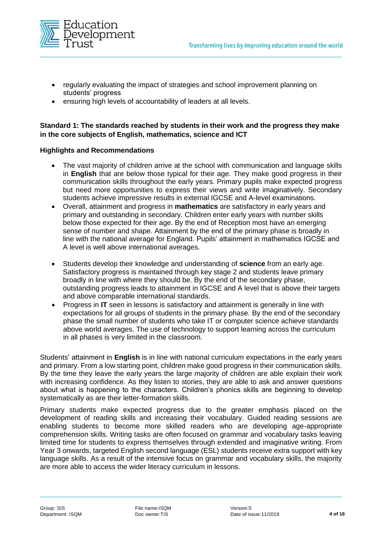

- regularly evaluating the impact of strategies and school improvement planning on students' progress
- ensuring high levels of accountability of leaders at all levels.

# **Standard 1: The standards reached by students in their work and the progress they make in the core subjects of English, mathematics, science and ICT**

#### **Highlights and Recommendations**

- The vast majority of children arrive at the school with communication and language skills in **English** that are below those typical for their age. They make good progress in their communication skills throughout the early years. Primary pupils make expected progress but need more opportunities to express their views and write imaginatively. Secondary students achieve impressive results in external IGCSE and A-level examinations.
- Overall, attainment and progress in **mathematics** are satisfactory in early years and primary and outstanding in secondary. Children enter early years with number skills below those expected for their age. By the end of Reception most have an emerging sense of number and shape. Attainment by the end of the primary phase is broadly in line with the national average for England. Pupils' attainment in mathematics IGCSE and A level is well above international averages.
- Students develop their knowledge and understanding of **science** from an early age. Satisfactory progress is maintained through key stage 2 and students leave primary broadly in line with where they should be. By the end of the secondary phase, outstanding progress leads to attainment in IGCSE and A level that is above their targets and above comparable international standards.
- Progress in **IT** seen in lessons is satisfactory and attainment is generally in line with expectations for all groups of students in the primary phase. By the end of the secondary phase the small number of students who take IT or computer science achieve standards above world averages. The use of technology to support learning across the curriculum in all phases is very limited in the classroom.

Students' attainment in **English** is in line with national curriculum expectations in the early years and primary. From a low starting point, children make good progress in their communication skills. By the time they leave the early years the large majority of children are able explain their work with increasing confidence. As they listen to stories, they are able to ask and answer questions about what is happening to the characters. Children's phonics skills are beginning to develop systematically as are their letter-formation skills.

Primary students make expected progress due to the greater emphasis placed on the development of reading skills and increasing their vocabulary. Guided reading sessions are enabling students to become more skilled readers who are developing age-appropriate comprehension skills. Writing tasks are often focused on grammar and vocabulary tasks leaving limited time for students to express themselves through extended and imaginative writing. From Year 3 onwards, targeted English second language (ESL) students receive extra support with key language skills. As a result of the intensive focus on grammar and vocabulary skills, the majority are more able to access the wider literacy curriculum in lessons.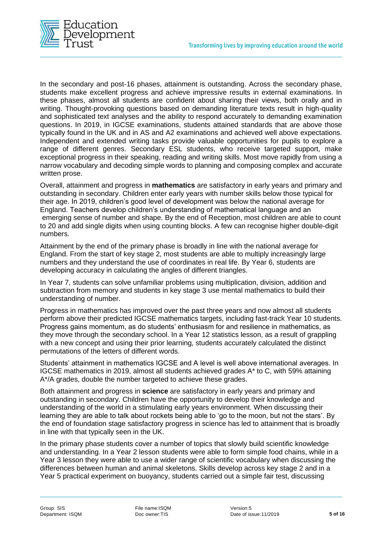

In the secondary and post-16 phases, attainment is outstanding. Across the secondary phase, students make excellent progress and achieve impressive results in external examinations. In these phases, almost all students are confident about sharing their views, both orally and in writing. Thought-provoking questions based on demanding literature texts result in high-quality and sophisticated text analyses and the ability to respond accurately to demanding examination questions. In 2019, in IGCSE examinations, students attained standards that are above those typically found in the UK and in AS and A2 examinations and achieved well above expectations. Independent and extended writing tasks provide valuable opportunities for pupils to explore a range of different genres. Secondary ESL students, who receive targeted support, make exceptional progress in their speaking, reading and writing skills. Most move rapidly from using a narrow vocabulary and decoding simple words to planning and composing complex and accurate written prose.

Overall, attainment and progress in **mathematics** are satisfactory in early years and primary and outstanding in secondary. Children enter early years with number skills below those typical for their age. In 2019, children's good level of development was below the national average for England. Teachers develop children's understanding of mathematical language and an emerging sense of number and shape. By the end of Reception, most children are able to count to 20 and add single digits when using counting blocks. A few can recognise higher double-digit numbers.

Attainment by the end of the primary phase is broadly in line with the national average for England. From the start of key stage 2, most students are able to multiply increasingly large numbers and they understand the use of coordinates in real life. By Year 6, students are developing accuracy in calculating the angles of different triangles.

In Year 7, students can solve unfamiliar problems using multiplication, division, addition and subtraction from memory and students in key stage 3 use mental mathematics to build their understanding of number.

Progress in mathematics has improved over the past three years and now almost all students perform above their predicted IGCSE mathematics targets, including fast-track Year 10 students. Progress gains momentum, as do students' enthusiasm for and resilience in mathematics, as they move through the secondary school. In a Year 12 statistics lesson, as a result of grappling with a new concept and using their prior learning, students accurately calculated the distinct permutations of the letters of different words.

Students' attainment in mathematics IGCSE and A level is well above international averages. In IGCSE mathematics in 2019, almost all students achieved grades A\* to C, with 59% attaining A\*/A grades, double the number targeted to achieve these grades.

Both attainment and progress in **science** are satisfactory in early years and primary and outstanding in secondary. Children have the opportunity to develop their knowledge and understanding of the world in a stimulating early years environment. When discussing their learning they are able to talk about rockets being able to 'go to the moon, but not the stars'. By the end of foundation stage satisfactory progress in science has led to attainment that is broadly in line with that typically seen in the UK.

In the primary phase students cover a number of topics that slowly build scientific knowledge and understanding. In a Year 2 lesson students were able to form simple food chains, while in a Year 3 lesson they were able to use a wider range of scientific vocabulary when discussing the differences between human and animal skeletons. Skills develop across key stage 2 and in a Year 5 practical experiment on buoyancy, students carried out a simple fair test, discussing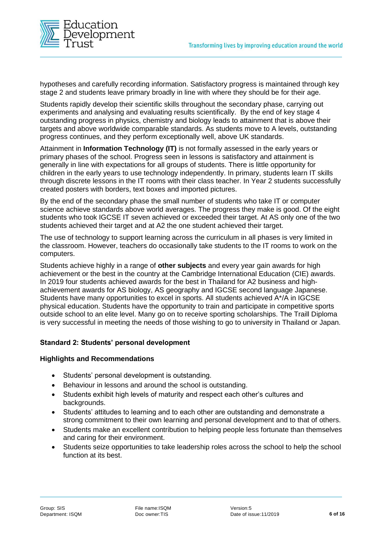

hypotheses and carefully recording information. Satisfactory progress is maintained through key stage 2 and students leave primary broadly in line with where they should be for their age.

Students rapidly develop their scientific skills throughout the secondary phase, carrying out experiments and analysing and evaluating results scientifically. By the end of key stage 4 outstanding progress in physics, chemistry and biology leads to attainment that is above their targets and above worldwide comparable standards. As students move to A levels, outstanding progress continues, and they perform exceptionally well, above UK standards.

Attainment in **Information Technology (IT)** is not formally assessed in the early years or primary phases of the school. Progress seen in lessons is satisfactory and attainment is generally in line with expectations for all groups of students. There is little opportunity for children in the early years to use technology independently. In primary, students learn IT skills through discrete lessons in the IT rooms with their class teacher. In Year 2 students successfully created posters with borders, text boxes and imported pictures.

By the end of the secondary phase the small number of students who take IT or computer science achieve standards above world averages. The progress they make is good. Of the eight students who took IGCSE IT seven achieved or exceeded their target. At AS only one of the two students achieved their target and at A2 the one student achieved their target.

The use of technology to support learning across the curriculum in all phases is very limited in the classroom. However, teachers do occasionally take students to the IT rooms to work on the computers.

Students achieve highly in a range of **other subjects** and every year gain awards for high achievement or the best in the country at the Cambridge International Education (CIE) awards. In 2019 four students achieved awards for the best in Thailand for A2 business and highachievement awards for AS biology, AS geography and IGCSE second language Japanese. Students have many opportunities to excel in sports. All students achieved A\*/A in IGCSE physical education. Students have the opportunity to train and participate in competitive sports outside school to an elite level. Many go on to receive sporting scholarships. The Traill Diploma is very successful in meeting the needs of those wishing to go to university in Thailand or Japan.

#### **Standard 2: Students' personal development**

#### **Highlights and Recommendations**

- Students' personal development is outstanding.
- Behaviour in lessons and around the school is outstanding.
- Students exhibit high levels of maturity and respect each other's cultures and backgrounds.
- Students' attitudes to learning and to each other are outstanding and demonstrate a strong commitment to their own learning and personal development and to that of others.
- Students make an excellent contribution to helping people less fortunate than themselves and caring for their environment.
- Students seize opportunities to take leadership roles across the school to help the school function at its best.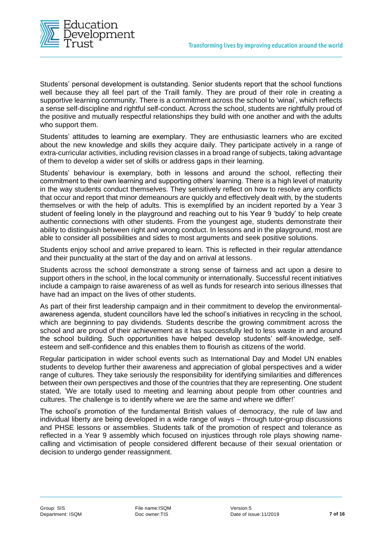

Students' personal development is outstanding. Senior students report that the school functions well because they all feel part of the Traill family. They are proud of their role in creating a supportive learning community. There is a commitment across the school to 'winai', which reflects a sense self-discipline and rightful self-conduct. Across the school, students are rightfully proud of the positive and mutually respectful relationships they build with one another and with the adults who support them.

Students' attitudes to learning are exemplary. They are enthusiastic learners who are excited about the new knowledge and skills they acquire daily. They participate actively in a range of extra-curricular activities, including revision classes in a broad range of subjects, taking advantage of them to develop a wider set of skills or address gaps in their learning.

Students' behaviour is exemplary, both in lessons and around the school, reflecting their commitment to their own learning and supporting others' learning. There is a high level of maturity in the way students conduct themselves. They sensitively reflect on how to resolve any conflicts that occur and report that minor demeanours are quickly and effectively dealt with, by the students themselves or with the help of adults. This is exemplified by an incident reported by a Year 3 student of feeling lonely in the playground and reaching out to his Year 9 'buddy' to help create authentic connections with other students. From the youngest age, students demonstrate their ability to distinguish between right and wrong conduct. In lessons and in the playground, most are able to consider all possibilities and sides to most arguments and seek positive solutions.

Students enjoy school and arrive prepared to learn. This is reflected in their regular attendance and their punctuality at the start of the day and on arrival at lessons.

Students across the school demonstrate a strong sense of fairness and act upon a desire to support others in the school, in the local community or internationally. Successful recent initiatives include a campaign to raise awareness of as well as funds for research into serious illnesses that have had an impact on the lives of other students.

As part of their first leadership campaign and in their commitment to develop the environmentalawareness agenda, student councillors have led the school's initiatives in recycling in the school, which are beginning to pay dividends. Students describe the growing commitment across the school and are proud of their achievement as it has successfully led to less waste in and around the school building. Such opportunities have helped develop students' self-knowledge, selfesteem and self-confidence and this enables them to flourish as citizens of the world.

Regular participation in wider school events such as International Day and Model UN enables students to develop further their awareness and appreciation of global perspectives and a wider range of cultures. They take seriously the responsibility for identifying similarities and differences between their own perspectives and those of the countries that they are representing. One student stated, 'We are totally used to meeting and learning about people from other countries and cultures. The challenge is to identify where we are the same and where we differ!'

The school's promotion of the fundamental British values of democracy, the rule of law and individual liberty are being developed in a wide range of ways – through tutor-group discussions and PHSE lessons or assemblies. Students talk of the promotion of respect and tolerance as reflected in a Year 9 assembly which focused on injustices through role plays showing namecalling and victimisation of people considered different because of their sexual orientation or decision to undergo gender reassignment.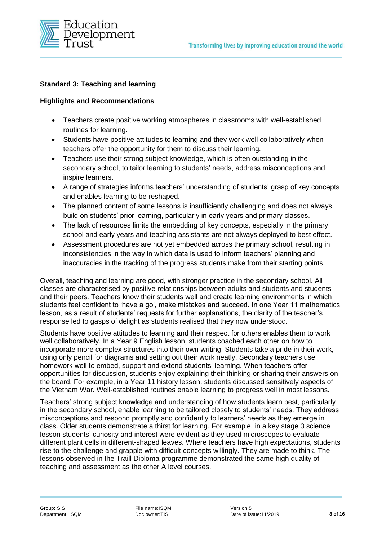

# **Standard 3: Teaching and learning**

#### **Highlights and Recommendations**

- Teachers create positive working atmospheres in classrooms with well-established routines for learning.
- Students have positive attitudes to learning and they work well collaboratively when teachers offer the opportunity for them to discuss their learning.
- Teachers use their strong subject knowledge, which is often outstanding in the secondary school, to tailor learning to students' needs, address misconceptions and inspire learners.
- A range of strategies informs teachers' understanding of students' grasp of key concepts and enables learning to be reshaped.
- The planned content of some lessons is insufficiently challenging and does not always build on students' prior learning, particularly in early years and primary classes.
- The lack of resources limits the embedding of key concepts, especially in the primary school and early years and teaching assistants are not always deployed to best effect.
- Assessment procedures are not yet embedded across the primary school, resulting in inconsistencies in the way in which data is used to inform teachers' planning and inaccuracies in the tracking of the progress students make from their starting points.

Overall, teaching and learning are good, with stronger practice in the secondary school. All classes are characterised by positive relationships between adults and students and students and their peers. Teachers know their students well and create learning environments in which students feel confident to 'have a go', make mistakes and succeed. In one Year 11 mathematics lesson, as a result of students' requests for further explanations, the clarity of the teacher's response led to gasps of delight as students realised that they now understood.

Students have positive attitudes to learning and their respect for others enables them to work well collaboratively. In a Year 9 English lesson, students coached each other on how to incorporate more complex structures into their own writing. Students take a pride in their work, using only pencil for diagrams and setting out their work neatly. Secondary teachers use homework well to embed, support and extend students' learning. When teachers offer opportunities for discussion, students enjoy explaining their thinking or sharing their answers on the board. For example, in a Year 11 history lesson, students discussed sensitively aspects of the Vietnam War. Well-established routines enable learning to progress well in most lessons.

Teachers' strong subject knowledge and understanding of how students learn best, particularly in the secondary school, enable learning to be tailored closely to students' needs. They address misconceptions and respond promptly and confidently to learners' needs as they emerge in class. Older students demonstrate a thirst for learning. For example, in a key stage 3 science lesson students' curiosity and interest were evident as they used microscopes to evaluate different plant cells in different-shaped leaves. Where teachers have high expectations, students rise to the challenge and grapple with difficult concepts willingly. They are made to think. The lessons observed in the Traill Diploma programme demonstrated the same high quality of teaching and assessment as the other A level courses.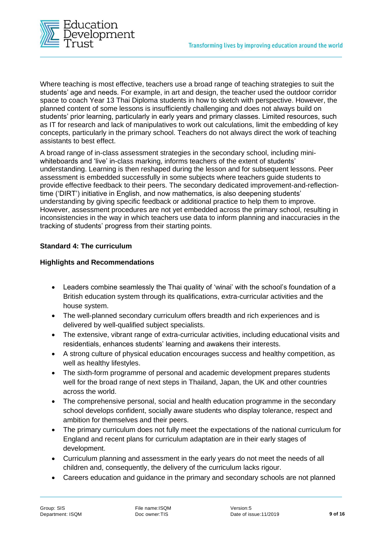

Where teaching is most effective, teachers use a broad range of teaching strategies to suit the students' age and needs. For example, in art and design, the teacher used the outdoor corridor space to coach Year 13 Thai Diploma students in how to sketch with perspective. However, the planned content of some lessons is insufficiently challenging and does not always build on students' prior learning, particularly in early years and primary classes. Limited resources, such as IT for research and lack of manipulatives to work out calculations, limit the embedding of key concepts, particularly in the primary school. Teachers do not always direct the work of teaching assistants to best effect.

A broad range of in-class assessment strategies in the secondary school, including miniwhiteboards and 'live' in-class marking, informs teachers of the extent of students' understanding. Learning is then reshaped during the lesson and for subsequent lessons. Peer assessment is embedded successfully in some subjects where teachers guide students to provide effective feedback to their peers. The secondary dedicated improvement-and-reflectiontime ('DIRT') initiative in English, and now mathematics, is also deepening students' understanding by giving specific feedback or additional practice to help them to improve. However, assessment procedures are not yet embedded across the primary school, resulting in inconsistencies in the way in which teachers use data to inform planning and inaccuracies in the tracking of students' progress from their starting points.

# **Standard 4: The curriculum**

#### **Highlights and Recommendations**

- Leaders combine seamlessly the Thai quality of 'winai' with the school's foundation of a British education system through its qualifications, extra-curricular activities and the house system.
- The well-planned secondary curriculum offers breadth and rich experiences and is delivered by well-qualified subject specialists.
- The extensive, vibrant range of extra-curricular activities, including educational visits and residentials, enhances students' learning and awakens their interests.
- A strong culture of physical education encourages success and healthy competition, as well as healthy lifestyles.
- The sixth-form programme of personal and academic development prepares students well for the broad range of next steps in Thailand, Japan, the UK and other countries across the world.
- The comprehensive personal, social and health education programme in the secondary school develops confident, socially aware students who display tolerance, respect and ambition for themselves and their peers.
- The primary curriculum does not fully meet the expectations of the national curriculum for England and recent plans for curriculum adaptation are in their early stages of development.
- Curriculum planning and assessment in the early years do not meet the needs of all children and, consequently, the delivery of the curriculum lacks rigour.
- Careers education and guidance in the primary and secondary schools are not planned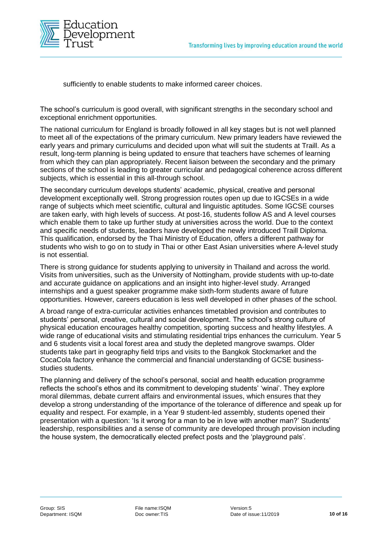

sufficiently to enable students to make informed career choices.

The school's curriculum is good overall, with significant strengths in the secondary school and exceptional enrichment opportunities.

The national curriculum for England is broadly followed in all key stages but is not well planned to meet all of the expectations of the primary curriculum. New primary leaders have reviewed the early years and primary curriculums and decided upon what will suit the students at Traill. As a result, long-term planning is being updated to ensure that teachers have schemes of learning from which they can plan appropriately. Recent liaison between the secondary and the primary sections of the school is leading to greater curricular and pedagogical coherence across different subjects, which is essential in this all-through school.

The secondary curriculum develops students' academic, physical, creative and personal development exceptionally well. Strong progression routes open up due to IGCSEs in a wide range of subjects which meet scientific, cultural and linguistic aptitudes. Some IGCSE courses are taken early, with high levels of success. At post-16, students follow AS and A level courses which enable them to take up further study at universities across the world. Due to the context and specific needs of students, leaders have developed the newly introduced Traill Diploma. This qualification, endorsed by the Thai Ministry of Education, offers a different pathway for students who wish to go on to study in Thai or other East Asian universities where A-level study is not essential.

There is strong guidance for students applying to university in Thailand and across the world. Visits from universities, such as the University of Nottingham, provide students with up-to-date and accurate guidance on applications and an insight into higher-level study. Arranged internships and a guest speaker programme make sixth-form students aware of future opportunities. However, careers education is less well developed in other phases of the school.

A broad range of extra-curricular activities enhances timetabled provision and contributes to students' personal, creative, cultural and social development. The school's strong culture of physical education encourages healthy competition, sporting success and healthy lifestyles. A wide range of educational visits and stimulating residential trips enhances the curriculum. Year 5 and 6 students visit a local forest area and study the depleted mangrove swamps. Older students take part in geography field trips and visits to the Bangkok Stockmarket and the CocaCola factory enhance the commercial and financial understanding of GCSE businessstudies students.

The planning and delivery of the school's personal, social and health education programme reflects the school's ethos and its commitment to developing students' 'winai'. They explore moral dilemmas, debate current affairs and environmental issues, which ensures that they develop a strong understanding of the importance of the tolerance of difference and speak up for equality and respect. For example, in a Year 9 student-led assembly, students opened their presentation with a question: 'Is it wrong for a man to be in love with another man?' Students' leadership, responsibilities and a sense of community are developed through provision including the house system, the democratically elected prefect posts and the 'playground pals'.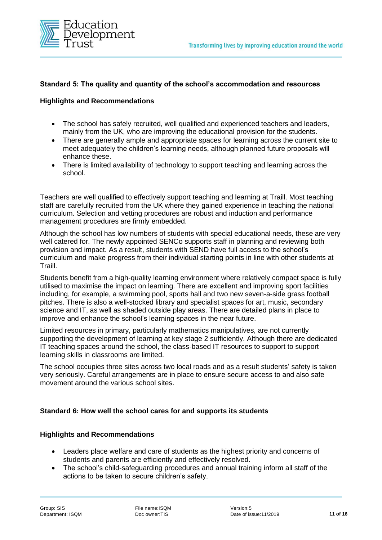

#### **Standard 5: The quality and quantity of the school's accommodation and resources**

#### **Highlights and Recommendations**

- The school has safely recruited, well qualified and experienced teachers and leaders, mainly from the UK, who are improving the educational provision for the students.
- There are generally ample and appropriate spaces for learning across the current site to meet adequately the children's learning needs, although planned future proposals will enhance these.
- There is limited availability of technology to support teaching and learning across the school.

Teachers are well qualified to effectively support teaching and learning at Traill. Most teaching staff are carefully recruited from the UK where they gained experience in teaching the national curriculum. Selection and vetting procedures are robust and induction and performance management procedures are firmly embedded.

Although the school has low numbers of students with special educational needs, these are very well catered for. The newly appointed SENCo supports staff in planning and reviewing both provision and impact. As a result, students with SEND have full access to the school's curriculum and make progress from their individual starting points in line with other students at Traill.

Students benefit from a high-quality learning environment where relatively compact space is fully utilised to maximise the impact on learning. There are excellent and improving sport facilities including, for example, a swimming pool, sports hall and two new seven-a-side grass football pitches. There is also a well-stocked library and specialist spaces for art, music, secondary science and IT, as well as shaded outside play areas. There are detailed plans in place to improve and enhance the school's learning spaces in the near future.

Limited resources in primary, particularly mathematics manipulatives, are not currently supporting the development of learning at key stage 2 sufficiently. Although there are dedicated IT teaching spaces around the school, the class-based IT resources to support to support learning skills in classrooms are limited.

The school occupies three sites across two local roads and as a result students' safety is taken very seriously. Careful arrangements are in place to ensure secure access to and also safe movement around the various school sites.

#### **Standard 6: How well the school cares for and supports its students**

#### **Highlights and Recommendations**

- Leaders place welfare and care of students as the highest priority and concerns of students and parents are efficiently and effectively resolved.
- The school's child-safeguarding procedures and annual training inform all staff of the actions to be taken to secure children's safety.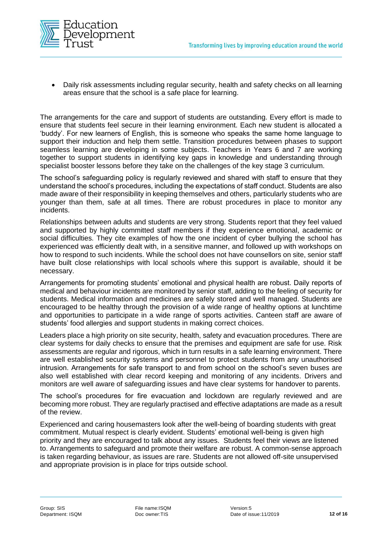

• Daily risk assessments including regular security, health and safety checks on all learning areas ensure that the school is a safe place for learning.

The arrangements for the care and support of students are outstanding. Every effort is made to ensure that students feel secure in their learning environment. Each new student is allocated a 'buddy'. For new learners of English, this is someone who speaks the same home language to support their induction and help them settle. Transition procedures between phases to support seamless learning are developing in some subjects. Teachers in Years 6 and 7 are working together to support students in identifying key gaps in knowledge and understanding through specialist booster lessons before they take on the challenges of the key stage 3 curriculum.

The school's safeguarding policy is regularly reviewed and shared with staff to ensure that they understand the school's procedures, including the expectations of staff conduct. Students are also made aware of their responsibility in keeping themselves and others, particularly students who are younger than them, safe at all times. There are robust procedures in place to monitor any incidents.

Relationships between adults and students are very strong. Students report that they feel valued and supported by highly committed staff members if they experience emotional, academic or social difficulties. They cite examples of how the one incident of cyber bullying the school has experienced was efficiently dealt with, in a sensitive manner, and followed up with workshops on how to respond to such incidents. While the school does not have counsellors on site, senior staff have built close relationships with local schools where this support is available, should it be necessary.

Arrangements for promoting students' emotional and physical health are robust. Daily reports of medical and behaviour incidents are monitored by senior staff, adding to the feeling of security for students. Medical information and medicines are safely stored and well managed. Students are encouraged to be healthy through the provision of a wide range of healthy options at lunchtime and opportunities to participate in a wide range of sports activities. Canteen staff are aware of students' food allergies and support students in making correct choices.

Leaders place a high priority on site security, health, safety and evacuation procedures. There are clear systems for daily checks to ensure that the premises and equipment are safe for use. Risk assessments are regular and rigorous, which in turn results in a safe learning environment. There are well established security systems and personnel to protect students from any unauthorised intrusion. Arrangements for safe transport to and from school on the school's seven buses are also well established with clear record keeping and monitoring of any incidents. Drivers and monitors are well aware of safeguarding issues and have clear systems for handover to parents.

The school's procedures for fire evacuation and lockdown are regularly reviewed and are becoming more robust. They are regularly practised and effective adaptations are made as a result of the review.

Experienced and caring housemasters look after the well-being of boarding students with great commitment. Mutual respect is clearly evident. Students' emotional well-being is given high priority and they are encouraged to talk about any issues. Students feel their views are listened to. Arrangements to safeguard and promote their welfare are robust. A common-sense approach is taken regarding behaviour, as issues are rare. Students are not allowed off-site unsupervised and appropriate provision is in place for trips outside school.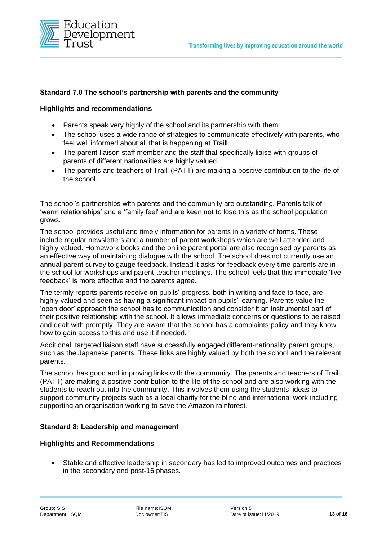

# **Standard 7.0 The school's partnership with parents and the community**

#### **Highlights and recommendations**

- Parents speak very highly of the school and its partnership with them.
- The school uses a wide range of strategies to communicate effectively with parents, who feel well informed about all that is happening at Traill.
- The parent-liaison staff member and the staff that specifically liaise with groups of parents of different nationalities are highly valued.
- The parents and teachers of Traill (PATT) are making a positive contribution to the life of the school.

The school's partnerships with parents and the community are outstanding. Parents talk of 'warm relationships' and a 'family feel' and are keen not to lose this as the school population grows.

The school provides useful and timely information for parents in a variety of forms. These include regular newsletters and a number of parent workshops which are well attended and highly valued. Homework books and the online parent portal are also recognised by parents as an effective way of maintaining dialogue with the school. The school does not currently use an annual parent survey to gauge feedback. Instead it asks for feedback every time parents are in the school for workshops and parent-teacher meetings. The school feels that this immediate 'live feedback' is more effective and the parents agree.

The termly reports parents receive on pupils' progress, both in writing and face to face, are highly valued and seen as having a significant impact on pupils' learning. Parents value the 'open door' approach the school has to communication and consider it an instrumental part of their positive relationship with the school. It allows immediate concerns or questions to be raised and dealt with promptly. They are aware that the school has a complaints policy and they know how to gain access to this and use it if needed.

Additional, targeted liaison staff have successfully engaged different-nationality parent groups, such as the Japanese parents. These links are highly valued by both the school and the relevant parents.

The school has good and improving links with the community. The parents and teachers of Traill (PATT) are making a positive contribution to the life of the school and are also working with the students to reach out into the community. This involves them using the students' ideas to support community projects such as a local charity for the blind and international work including supporting an organisation working to save the Amazon rainforest.

# **Standard 8: Leadership and management**

#### **Highlights and Recommendations**

• Stable and effective leadership in secondary has led to improved outcomes and practices in the secondary and post-16 phases.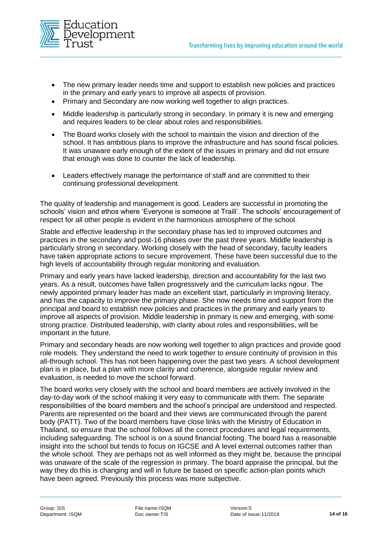

- The new primary leader needs time and support to establish new policies and practices in the primary and early years to improve all aspects of provision.
- Primary and Secondary are now working well together to align practices.
- Middle leadership is particularly strong in secondary. In primary it is new and emerging and requires leaders to be clear about roles and responsibilities.
- The Board works closely with the school to maintain the vision and direction of the school. It has ambitious plans to improve the infrastructure and has sound fiscal policies. It was unaware early enough of the extent of the issues in primary and did not ensure that enough was done to counter the lack of leadership.
- Leaders effectively manage the performance of staff and are committed to their continuing professional development.

The quality of leadership and management is good. Leaders are successful in promoting the schools' vision and ethos where 'Everyone is someone at Traill'. The schools' encouragement of respect for all other people is evident in the harmonious atmosphere of the school.

Stable and effective leadership in the secondary phase has led to improved outcomes and practices in the secondary and post-16 phases over the past three years. Middle leadership is particularly strong in secondary. Working closely with the head of secondary, faculty leaders have taken appropriate actions to secure improvement. These have been successful due to the high levels of accountability through regular monitoring and evaluation.

Primary and early years have lacked leadership, direction and accountability for the last two years. As a result, outcomes have fallen progressively and the curriculum lacks rigour. The newly appointed primary leader has made an excellent start, particularly in improving literacy, and has the capacity to improve the primary phase. She now needs time and support from the principal and board to establish new policies and practices in the primary and early years to improve all aspects of provision. Middle leadership in primary is new and emerging, with some strong practice. Distributed leadership, with clarity about roles and responsibilities, will be important in the future.

Primary and secondary heads are now working well together to align practices and provide good role models. They understand the need to work together to ensure continuity of provision in this all-through school. This has not been happening over the past two years. A school development plan is in place, but a plan with more clarity and coherence, alongside regular review and evaluation, is needed to move the school forward.

The board works very closely with the school and board members are actively involved in the day-to-day work of the school making it very easy to communicate with them. The separate responsibilities of the board members and the school's principal are understood and respected. Parents are represented on the board and their views are communicated through the parent body (PATT). Two of the board members have close links with the Ministry of Education in Thailand, so ensure that the school follows all the correct procedures and legal requirements, including safeguarding. The school is on a sound financial footing. The board has a reasonable insight into the school but tends to focus on IGCSE and A level external outcomes rather than the whole school. They are perhaps not as well informed as they might be, because the principal was unaware of the scale of the regression in primary. The board appraise the principal, but the way they do this is changing and will in future be based on specific action-plan points which have been agreed. Previously this process was more subjective.